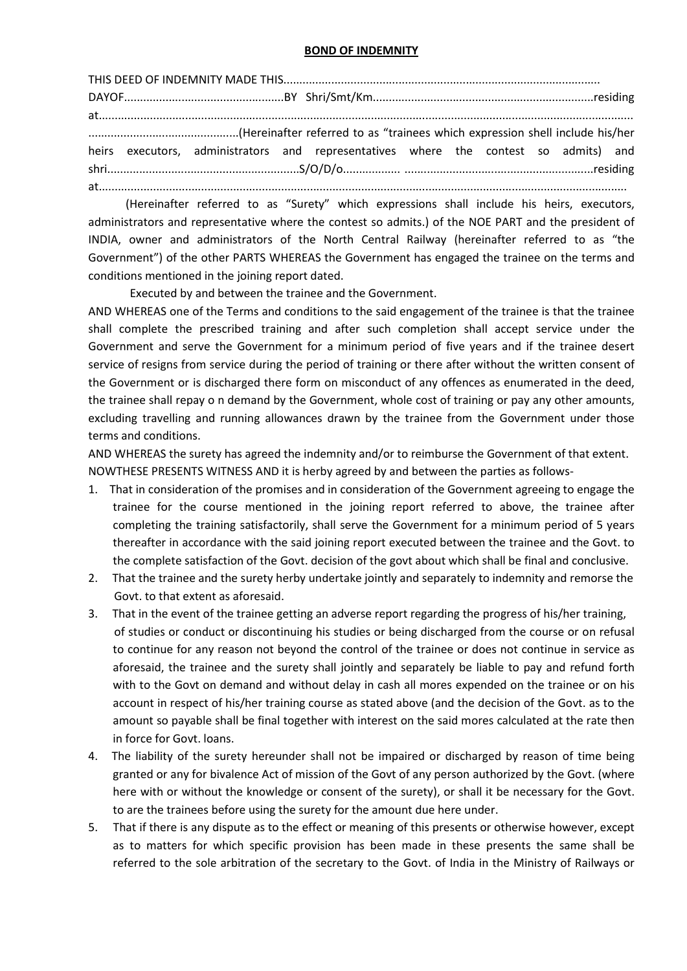## BOND OF INDEMNITY

THIS DEED OF INDEMNITY MADE THIS................................................................................................... DAYOF..................................................BY Shri/Smt/Km.....................................................................residing at....................................................................................................................................................................... ...............................................(Hereinafter referred to as "trainees which expression shell include his/her heirs executors, administrators and representatives where the contest so admits) and shri............................................................S/O/D/o.................. ...........................................................residing at.....................................................................................................................................................................

 (Hereinafter referred to as "Surety" which expressions shall include his heirs, executors, administrators and representative where the contest so admits.) of the NOE PART and the president of INDIA, owner and administrators of the North Central Railway (hereinafter referred to as "the Government") of the other PARTS WHEREAS the Government has engaged the trainee on the terms and conditions mentioned in the joining report dated.

Executed by and between the trainee and the Government.

AND WHEREAS one of the Terms and conditions to the said engagement of the trainee is that the trainee shall complete the prescribed training and after such completion shall accept service under the Government and serve the Government for a minimum period of five years and if the trainee desert service of resigns from service during the period of training or there after without the written consent of the Government or is discharged there form on misconduct of any offences as enumerated in the deed, the trainee shall repay o n demand by the Government, whole cost of training or pay any other amounts, excluding travelling and running allowances drawn by the trainee from the Government under those terms and conditions.

AND WHEREAS the surety has agreed the indemnity and/or to reimburse the Government of that extent. NOWTHESE PRESENTS WITNESS AND it is herby agreed by and between the parties as follows-

- 1. That in consideration of the promises and in consideration of the Government agreeing to engage the trainee for the course mentioned in the joining report referred to above, the trainee after completing the training satisfactorily, shall serve the Government for a minimum period of 5 years thereafter in accordance with the said joining report executed between the trainee and the Govt. to the complete satisfaction of the Govt. decision of the govt about which shall be final and conclusive.
- 2. That the trainee and the surety herby undertake jointly and separately to indemnity and remorse the Govt. to that extent as aforesaid.
- 3. That in the event of the trainee getting an adverse report regarding the progress of his/her training, of studies or conduct or discontinuing his studies or being discharged from the course or on refusal to continue for any reason not beyond the control of the trainee or does not continue in service as aforesaid, the trainee and the surety shall jointly and separately be liable to pay and refund forth with to the Govt on demand and without delay in cash all mores expended on the trainee or on his account in respect of his/her training course as stated above (and the decision of the Govt. as to the amount so payable shall be final together with interest on the said mores calculated at the rate then in force for Govt. loans.
- 4. The liability of the surety hereunder shall not be impaired or discharged by reason of time being granted or any for bivalence Act of mission of the Govt of any person authorized by the Govt. (where here with or without the knowledge or consent of the surety), or shall it be necessary for the Govt. to are the trainees before using the surety for the amount due here under.
- 5. That if there is any dispute as to the effect or meaning of this presents or otherwise however, except as to matters for which specific provision has been made in these presents the same shall be referred to the sole arbitration of the secretary to the Govt. of India in the Ministry of Railways or